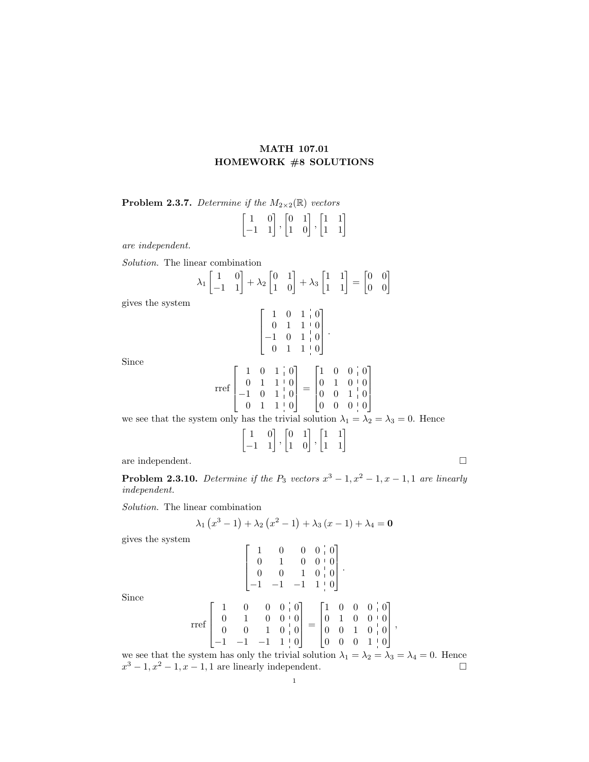## MATH 107.01 HOMEWORK #8 SOLUTIONS

**Problem 2.3.7.** Determine if the  $M_{2\times2}(\mathbb{R})$  vectors

$$
\begin{bmatrix} 1 & 0 \\ -1 & 1 \end{bmatrix}, \begin{bmatrix} 0 & 1 \\ 1 & 0 \end{bmatrix}, \begin{bmatrix} 1 & 1 \\ 1 & 1 \end{bmatrix}
$$

are independent.

Solution. The linear combination

$$
\lambda_1 \begin{bmatrix} 1 & 0 \\ -1 & 1 \end{bmatrix} + \lambda_2 \begin{bmatrix} 0 & 1 \\ 1 & 0 \end{bmatrix} + \lambda_3 \begin{bmatrix} 1 & 1 \\ 1 & 1 \end{bmatrix} = \begin{bmatrix} 0 & 0 \\ 0 & 0 \end{bmatrix}
$$

gives the system

$$
\begin{bmatrix} 1 & 0 & 1 & 0 \ 0 & 1 & 1 & 0 \ -1 & 0 & 1 & 0 \ 0 & 1 & 1 & 0 \ \end{bmatrix}.
$$

$$
\begin{bmatrix} 1 & 0 & 1 & 0 \ 0 & 1 & 1 & 0 \ 0 & 1 & 1 & 0 \ \end{bmatrix} = \begin{bmatrix} 1 & 0 \ 0 & 1 \ 0 & 0 \ \end{bmatrix}
$$

Since

$$
\text{rref}\begin{bmatrix} 1 & 0 & 1 & 0 \\ 0 & 1 & 1 & 0 \\ -1 & 0 & 1 & 0 \\ 0 & 1 & 1 & 0 \end{bmatrix} = \begin{bmatrix} 1 & 0 & 0 & 0 \\ 0 & 1 & 0 & 0 \\ 0 & 0 & 1 & 0 \\ 0 & 0 & 0 & 0 \end{bmatrix}
$$

we see that the system only has the trivial solution  $\lambda_1 = \lambda_2 = \lambda_3 = 0$ . Hence

$$
\begin{bmatrix} 1 & 0 \\ -1 & 1 \end{bmatrix}, \begin{bmatrix} 0 & 1 \\ 1 & 0 \end{bmatrix}, \begin{bmatrix} 1 & 1 \\ 1 & 1 \end{bmatrix}
$$

are independent.  $\hfill \square$ 

**Problem 2.3.10.** Determine if the  $P_3$  vectors  $x^3 - 1$ ,  $x^2 - 1$ ,  $x - 1$ , 1 are linearly independent.

Solution. The linear combination

$$
\lambda_1(x^3 - 1) + \lambda_2(x^2 - 1) + \lambda_3(x - 1) + \lambda_4 = \mathbf{0}
$$

gives the system

$$
\begin{bmatrix} 1 & 0 & 0 & 0 & 0 \\ 0 & 1 & 0 & 0 & 0 \\ 0 & 0 & 1 & 0 & 0 \\ -1 & -1 & -1 & 1 & 0 \end{bmatrix}.
$$
  
\n
$$
\begin{bmatrix} 1 & 0 & 0 & 0 \\ 0 & 0 & 1 & 0 \\ 1 & 0 & 0 & 0 \end{bmatrix} \begin{bmatrix} 1 & 0 & 0 & 0 \\ 0 & 1 & 0 & 0 \\ 0 & 0 & 1 & 0 \end{bmatrix}
$$

Since

$$
\mathrm{rref}\begin{bmatrix} 1 & 0 & 0 & 0 & 0 \\ 0 & 1 & 0 & 0 & 0 \\ 0 & 0 & 1 & 0 & 0 \\ -1 & -1 & -1 & 1 & 0 \end{bmatrix}=\begin{bmatrix} 1 & 0 & 0 & 0 & 0 \\ 0 & 1 & 0 & 0 & 0 \\ 0 & 0 & 1 & 0 & 0 \\ 0 & 0 & 0 & 1 & 0 \end{bmatrix},
$$

we see that the system has only the trivial solution  $\lambda_1 = \lambda_2 = \lambda_3 = \lambda_4 = 0$ . Hence  $x^3 - 1, x^2 - 1, x - 1, 1$  are linearly independent.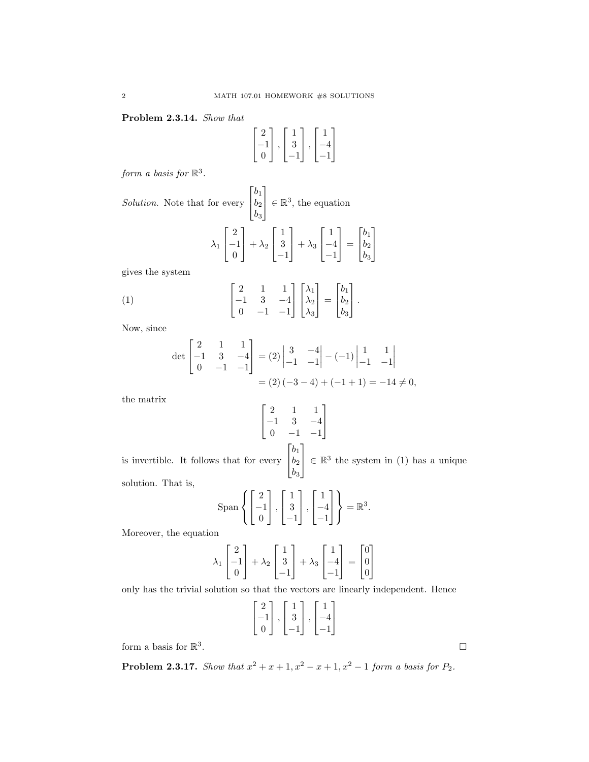Problem 2.3.14. Show that

$$
\begin{bmatrix} 2 \\ -1 \\ 0 \end{bmatrix}, \begin{bmatrix} 1 \\ 3 \\ -1 \end{bmatrix}, \begin{bmatrix} 1 \\ -4 \\ -1 \end{bmatrix}
$$

1  $\overline{1}$ 

form a basis for  $\mathbb{R}^3$ .

Solution. Note that for every  $\lceil$  $\overline{1}$  $b_1$  $b_2$  $b_3$ 1  $\in \mathbb{R}^3$ , the equation  $\lambda_1$  $\lceil$  $\overline{1}$ 2 −1 0 1  $+ \lambda_2$  $\lceil$  $\overline{\phantom{a}}$ 1 3 −1 1  $+ \lambda_3$  $\lceil$  $\overline{1}$ 1 −4 −1 1  $\vert$  =  $\lceil$  $\overline{1}$  $b_1$  $b_2$  $b_3$ gives the system

(1) 
$$
\begin{bmatrix} 2 & 1 & 1 \ -1 & 3 & -4 \ 0 & -1 & -1 \end{bmatrix} \begin{bmatrix} \lambda_1 \\ \lambda_2 \\ \lambda_3 \end{bmatrix} = \begin{bmatrix} b_1 \\ b_2 \\ b_3 \end{bmatrix}.
$$

Now, since

$$
\det\begin{bmatrix} 2 & 1 & 1 \\ -1 & 3 & -4 \\ 0 & -1 & -1 \end{bmatrix} = (2) \begin{vmatrix} 3 & -4 \\ -1 & -1 \end{vmatrix} - (-1) \begin{vmatrix} 1 & 1 \\ -1 & -1 \end{vmatrix}
$$

$$
= (2)(-3 - 4) + (-1 + 1) = -14 \neq 0,
$$

the matrix

$$
\begin{bmatrix} 2 & 1 & 1 \\ -1 & 3 & -4 \\ 0 & -1 & -1 \end{bmatrix}
$$

$$
\begin{bmatrix} b_1 \end{bmatrix}
$$

1  $\overline{1}$ 

is invertible. It follows that for every  $\overline{1}$  $b_1$  $b_2$  $b_3$  $\epsilon$  ∈  $\mathbb{R}^3$  the system in (1) has a unique solution. That is,

$$
\text{Span}\left\{ \begin{bmatrix} 2 \\ -1 \\ 0 \end{bmatrix}, \begin{bmatrix} 1 \\ 3 \\ -1 \end{bmatrix}, \begin{bmatrix} 1 \\ -4 \\ -1 \end{bmatrix} \right\} = \mathbb{R}^3.
$$

Moreover, the equation

$$
\lambda_1 \begin{bmatrix} 2 \\ -1 \\ 0 \end{bmatrix} + \lambda_2 \begin{bmatrix} 1 \\ 3 \\ -1 \end{bmatrix} + \lambda_3 \begin{bmatrix} 1 \\ -4 \\ -1 \end{bmatrix} = \begin{bmatrix} 0 \\ 0 \\ 0 \end{bmatrix}
$$

only has the trivial solution so that the vectors are linearly independent. Hence

$$
\begin{bmatrix} 2 \\ -1 \\ 0 \end{bmatrix}, \begin{bmatrix} 1 \\ 3 \\ -1 \end{bmatrix}, \begin{bmatrix} 1 \\ -4 \\ -1 \end{bmatrix}
$$

form a basis for  $\mathbb{R}^3$ 

**Problem 2.3.17.** Show that  $x^2 + x + 1$ ,  $x^2 - x + 1$ ,  $x^2 - 1$  form a basis for  $P_2$ .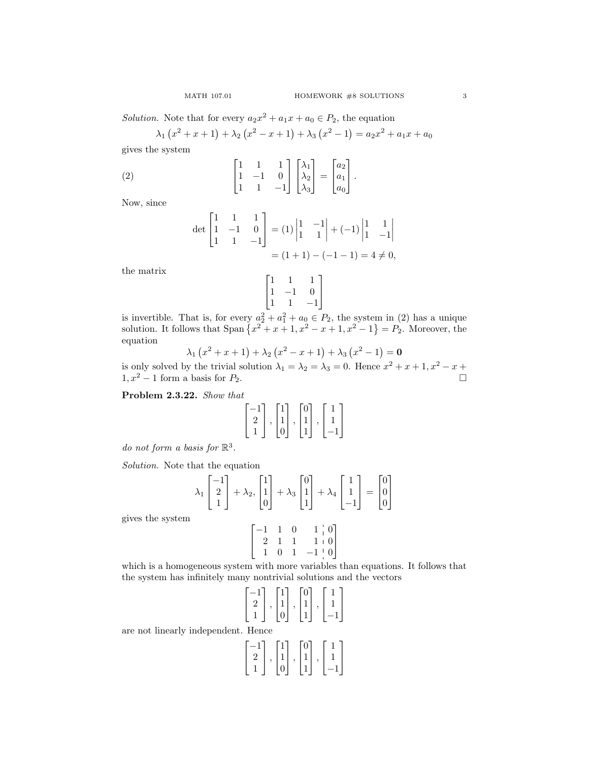Solution. Note that for every  $a_2x^2 + a_1x + a_0 \in P_2$ , the equation

$$
\lambda_1(x^2 + x + 1) + \lambda_2(x^2 - x + 1) + \lambda_3(x^2 - 1) = a_2x^2 + a_1x + a_0
$$

gives the system

(2) 
$$
\begin{bmatrix} 1 & 1 & 1 \ 1 & -1 & 0 \ 1 & 1 & -1 \end{bmatrix} \begin{bmatrix} \lambda_1 \\ \lambda_2 \\ \lambda_3 \end{bmatrix} = \begin{bmatrix} a_2 \\ a_1 \\ a_0 \end{bmatrix}.
$$

Now, since

$$
\det\begin{bmatrix} 1 & 1 & 1 \\ 1 & -1 & 0 \\ 1 & 1 & -1 \end{bmatrix} = (1)\begin{vmatrix} 1 & -1 \\ 1 & 1 \end{vmatrix} + (-1)\begin{vmatrix} 1 & 1 \\ 1 & -1 \end{vmatrix}
$$

$$
= (1+1) - (-1-1) = 4 \neq 0,
$$

the matrix

$$
\begin{bmatrix} 1 & 1 & 1 \\ 1 & -1 & 0 \\ 1 & 1 & -1 \end{bmatrix}
$$

1  $\overline{1}$ 

is invertible. That is, for every  $a_2^2 + a_1^2 + a_0 \in P_2$ , the system in (2) has a unique solution. It follows that  $\text{Span}\left\{x^2 + x + 1, x^2 - x + 1, x^2 - 1\right\} = P_2$ . Moreover, the equation

$$
\lambda_1(x^2 + x + 1) + \lambda_2(x^2 - x + 1) + \lambda_3(x^2 - 1) = \mathbf{0}
$$

is only solved by the trivial solution  $\lambda_1 = \lambda_2 = \lambda_3 = 0$ . Hence  $x^2 + x + 1$ ,  $x^2 - x +$  $1, x^2 - 1$  form a basis for  $P_2$ .

Problem 2.3.22. Show that

$$
\begin{bmatrix} -1 \\ 2 \\ 1 \end{bmatrix}, \begin{bmatrix} 1 \\ 1 \\ 0 \end{bmatrix}, \begin{bmatrix} 0 \\ 1 \\ 1 \end{bmatrix}, \begin{bmatrix} 1 \\ 1 \\ -1 \end{bmatrix}
$$

do not form a basis for  $\mathbb{R}^3$ .

Solution. Note that the equation

$$
\lambda_1 \begin{bmatrix} -1 \\ 2 \\ 1 \end{bmatrix} + \lambda_2, \begin{bmatrix} 1 \\ 1 \\ 0 \end{bmatrix} + \lambda_3 \begin{bmatrix} 0 \\ 1 \\ 1 \end{bmatrix} + \lambda_4 \begin{bmatrix} 1 \\ 1 \\ -1 \end{bmatrix} = \begin{bmatrix} 0 \\ 0 \\ 0 \end{bmatrix}
$$

gives the system

$$
\begin{bmatrix} -1 & 1 & 0 & 1 & 0 \\ 2 & 1 & 1 & 1 & 0 \\ 1 & 0 & 1 & -1 & 0 \end{bmatrix}
$$

which is a homogeneous system with more variables than equations. It follows that the system has infinitely many nontrivial solutions and the vectors

$$
\begin{bmatrix} -1 \\ 2 \\ 1 \end{bmatrix}, \begin{bmatrix} 1 \\ 1 \\ 0 \end{bmatrix}, \begin{bmatrix} 0 \\ 1 \\ 1 \end{bmatrix}, \begin{bmatrix} 1 \\ 1 \\ -1 \end{bmatrix}
$$

are not linearly independent. Hence

$$
\begin{bmatrix} -1 \\ 2 \\ 1 \end{bmatrix}, \begin{bmatrix} 1 \\ 1 \\ 0 \end{bmatrix}, \begin{bmatrix} 0 \\ 1 \\ 1 \end{bmatrix}, \begin{bmatrix} 1 \\ 1 \\ -1 \end{bmatrix}
$$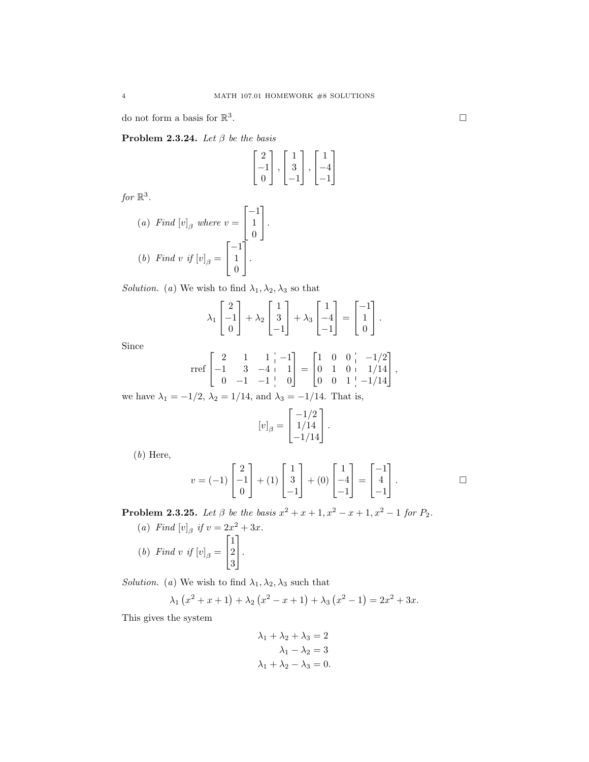do not form a basis for  $\mathbb{R}^3$ 

Problem 2.3.24. Let  $\beta$  be the basis

$$
\begin{bmatrix} 2 \\ -1 \\ 0 \end{bmatrix}, \begin{bmatrix} 1 \\ 3 \\ -1 \end{bmatrix}, \begin{bmatrix} 1 \\ -4 \\ -1 \end{bmatrix}
$$

for  $\mathbb{R}^3$ .

(a) Find 
$$
[v]_{\beta}
$$
 where  $v = \begin{bmatrix} -1 \\ 1 \\ 0 \end{bmatrix}$ .  
\n(b) Find v if  $[v]_{\beta} = \begin{bmatrix} -1 \\ 1 \\ 0 \end{bmatrix}$ .

Solution. (a) We wish to find  $\lambda_1, \lambda_2, \lambda_3$  so that

$$
\lambda_1 \begin{bmatrix} 2 \\ -1 \\ 0 \end{bmatrix} + \lambda_2 \begin{bmatrix} 1 \\ 3 \\ -1 \end{bmatrix} + \lambda_3 \begin{bmatrix} 1 \\ -4 \\ -1 \end{bmatrix} = \begin{bmatrix} -1 \\ 1 \\ 0 \end{bmatrix}.
$$

Since

$$
\text{rref}\begin{bmatrix} 2 & 1 & 1 & -1 \\ -1 & 3 & -4 & 1 \\ 0 & -1 & -1 & 0 \end{bmatrix} = \begin{bmatrix} 1 & 0 & 0 & -1/2 \\ 0 & 1 & 0 & 1/14 \\ 0 & 0 & 1 & -1/14 \end{bmatrix},
$$

we have  $\lambda_1 = -1/2$ ,  $\lambda_2 = 1/14$ , and  $\lambda_3 = -1/14$ . That is,

$$
[v]_{\beta} = \begin{bmatrix} -1/2 \\ 1/14 \\ -1/14 \end{bmatrix}.
$$

(b) Here,

$$
v = (-1)\begin{bmatrix} 2 \\ -1 \\ 0 \end{bmatrix} + (1)\begin{bmatrix} 1 \\ 3 \\ -1 \end{bmatrix} + (0)\begin{bmatrix} 1 \\ -4 \\ -1 \end{bmatrix} = \begin{bmatrix} -1 \\ 4 \\ -1 \end{bmatrix}.
$$

**Problem 2.3.25.** Let  $\beta$  be the basis  $x^2 + x + 1$ ,  $x^2 - x + 1$ ,  $x^2 - 1$  for  $P_2$ .

(a) Find  $[v]_{\beta}$  if  $v = 2x^2 + 3x$ . (b) Find v if  $[v]_{\beta} =$  $\lceil$  $\overline{\phantom{a}}$ 1 2 3 1  $\vert \cdot$ 

Solution. (a) We wish to find  $\lambda_1, \lambda_2, \lambda_3$  such that

$$
\lambda_1(x^2 + x + 1) + \lambda_2(x^2 - x + 1) + \lambda_3(x^2 - 1) = 2x^2 + 3x.
$$

This gives the system

$$
\lambda_1 + \lambda_2 + \lambda_3 = 2
$$

$$
\lambda_1 - \lambda_2 = 3
$$

$$
\lambda_1 + \lambda_2 - \lambda_3 = 0.
$$